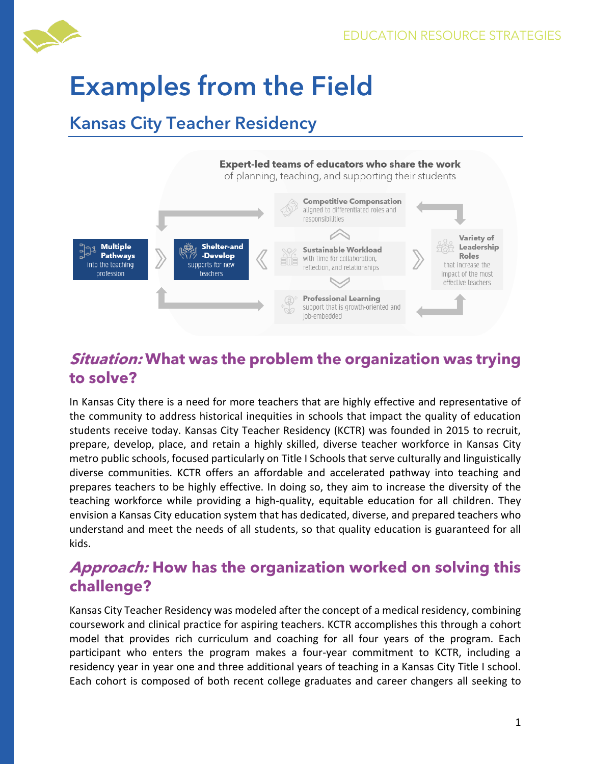

# **Examples from the Field**

## **Kansas City Teacher Residency**



## **Situation: What was the problem the organization was trying to solve?**

In Kansas City there is a need for more teachers that are highly effective and representative of the community to address historical inequities in schools that impact the quality of education students receive today. Kansas City Teacher Residency (KCTR) was founded in 2015 to recruit, prepare, develop, place, and retain a highly skilled, diverse teacher workforce in Kansas City metro public schools, focused particularly on Title I Schools that serve culturally and linguistically diverse communities. KCTR offers an affordable and accelerated pathway into teaching and prepares teachers to be highly effective. In doing so, they aim to increase the diversity of the teaching workforce while providing a high-quality, equitable education for all children. They envision a Kansas City education system that has dedicated, diverse, and prepared teachers who understand and meet the needs of all students, so that quality education is guaranteed for all kids.

## **Approach: How has the organization worked on solving this challenge?**

Kansas City Teacher Residency was modeled after the concept of a medical residency, combining coursework and clinical practice for aspiring teachers. KCTR accomplishes this through a cohort model that provides rich curriculum and coaching for all four years of the program. Each participant who enters the program makes a four-year commitment to KCTR, including a residency year in year one and three additional years of teaching in a Kansas City Title I school. Each cohort is composed of both recent college graduates and career changers all seeking to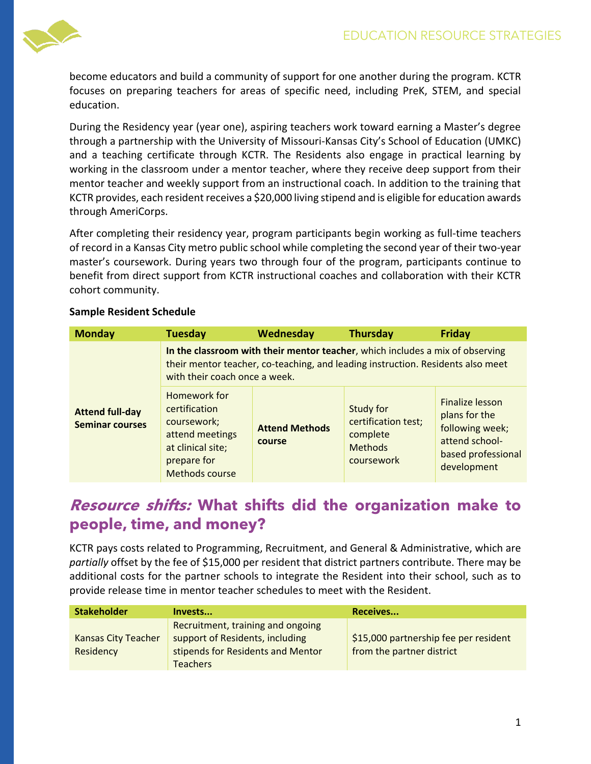

become educators and build a community of support for one another during the program. KCTR focuses on preparing teachers for areas of specific need, including PreK, STEM, and special education.

During the Residency year (year one), aspiring teachers work toward earning a Master's degree through a partnership with the University of Missouri-Kansas City's School of Education (UMKC) and a teaching certificate through KCTR. The Residents also engage in practical learning by working in the classroom under a mentor teacher, where they receive deep support from their mentor teacher and weekly support from an instructional coach. In addition to the training that KCTR provides, each resident receives a \$20,000 living stipend and is eligible for education awards through AmeriCorps.

After completing their residency year, program participants begin working as full-time teachers of record in a Kansas City metro public school while completing the second year of their two-year master's coursework. During years two through four of the program, participants continue to benefit from direct support from KCTR instructional coaches and collaboration with their KCTR cohort community.

| <b>Monday</b>                                    | <b>Tuesday</b>                                                                                                                                                                                    | Wednesday                       | <b>Thursday</b>                                                              | <b>Friday</b>                                                                                              |
|--------------------------------------------------|---------------------------------------------------------------------------------------------------------------------------------------------------------------------------------------------------|---------------------------------|------------------------------------------------------------------------------|------------------------------------------------------------------------------------------------------------|
| <b>Attend full-day</b><br><b>Seminar courses</b> | In the classroom with their mentor teacher, which includes a mix of observing<br>their mentor teacher, co-teaching, and leading instruction. Residents also meet<br>with their coach once a week. |                                 |                                                                              |                                                                                                            |
|                                                  | Homework for<br>certification<br>coursework;<br>attend meetings<br>at clinical site;<br>prepare for<br><b>Methods course</b>                                                                      | <b>Attend Methods</b><br>course | Study for<br>certification test;<br>complete<br><b>Methods</b><br>coursework | Finalize lesson<br>plans for the<br>following week;<br>attend school-<br>based professional<br>development |

#### **Sample Resident Schedule**

## **Resource shifts: What shifts did the organization make to people, time, and money?**

KCTR pays costs related to Programming, Recruitment, and General & Administrative, which are *partially* offset by the fee of \$15,000 per resident that district partners contribute. There may be additional costs for the partner schools to integrate the Resident into their school, such as to provide release time in mentor teacher schedules to meet with the Resident.

| <b>Stakeholder</b>                      | Invests                                                                                                                      | Receives                                                           |
|-----------------------------------------|------------------------------------------------------------------------------------------------------------------------------|--------------------------------------------------------------------|
| <b>Kansas City Teacher</b><br>Residency | Recruitment, training and ongoing<br>support of Residents, including<br>stipends for Residents and Mentor<br><b>Teachers</b> | \$15,000 partnership fee per resident<br>from the partner district |